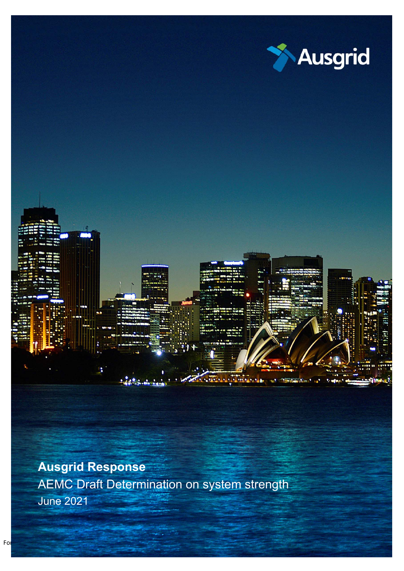

Ausgrid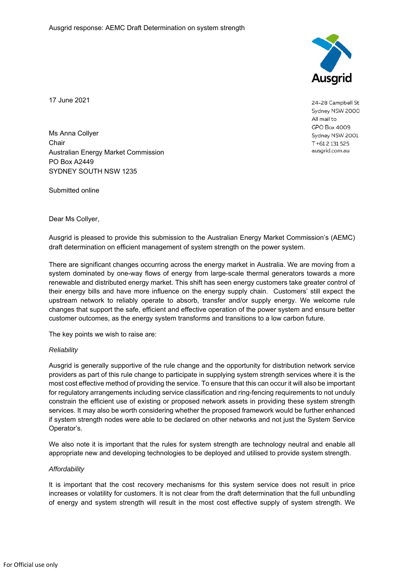

24-28 Campbell St Sydney NSW 2000 All mail to **GPO Box 4009** Sydney NSW 2001 T+612131525 ausgrid.com.au

17 June 2021

Ms Anna Collyer **Chair** Australian Energy Market Commission PO Box A2449 SYDNEY SOUTH NSW 1235

Submitted online

Dear Ms Collyer,

Ausgrid is pleased to provide this submission to the Australian Energy Market Commission's (AEMC) draft determination on efficient management of system strength on the power system.

There are significant changes occurring across the energy market in Australia. We are moving from a system dominated by one-way flows of energy from large-scale thermal generators towards a more renewable and distributed energy market. This shift has seen energy customers take greater control of their energy bills and have more influence on the energy supply chain. Customers' still expect the upstream network to reliably operate to absorb, transfer and/or supply energy. We welcome rule changes that support the safe, efficient and effective operation of the power system and ensure better customer outcomes, as the energy system transforms and transitions to a low carbon future.

The key points we wish to raise are:

## *Reliability*

Ausgrid is generally supportive of the rule change and the opportunity for distribution network service providers as part of this rule change to participate in supplying system strength services where it is the most cost effective method of providing the service. To ensure that this can occur it will also be important for regulatory arrangements including service classification and ring-fencing requirements to not unduly constrain the efficient use of existing or proposed network assets in providing these system strength services. It may also be worth considering whether the proposed framework would be further enhanced if system strength nodes were able to be declared on other networks and not just the System Service Operator's.

We also note it is important that the rules for system strength are technology neutral and enable all appropriate new and developing technologies to be deployed and utilised to provide system strength.

## *Affordability*

It is important that the cost recovery mechanisms for this system service does not result in price increases or volatility for customers. It is not clear from the draft determination that the full unbundling of energy and system strength will result in the most cost effective supply of system strength. We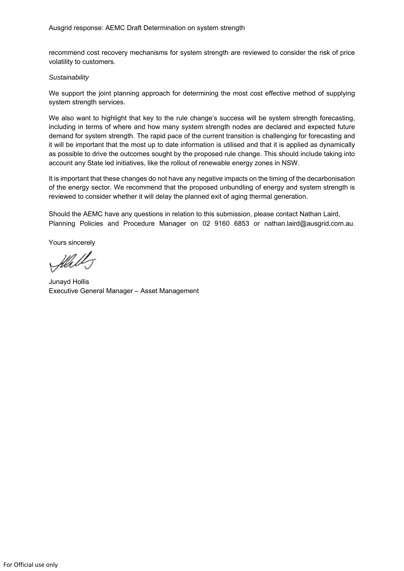recommend cost recovery mechanisms for system strength are reviewed to consider the risk of price volatility to customers.

## *Sustainability*

We support the joint planning approach for determining the most cost effective method of supplying system strength services.

We also want to highlight that key to the rule change's success will be system strength forecasting, including in terms of where and how many system strength nodes are declared and expected future demand for system strength. The rapid pace of the current transition is challenging for forecasting and it will be important that the most up to date information is utilised and that it is applied as dynamically as possible to drive the outcomes sought by the proposed rule change. This should include taking into account any State led initiatives, like the rollout of renewable energy zones in NSW.

It is important that these changes do not have any negative impacts on the timing of the decarbonisation of the energy sector. We recommend that the proposed unbundling of energy and system strength is reviewed to consider whether it will delay the planned exit of aging thermal generation.

Should the AEMC have any questions in relation to this submission, please contact Nathan Laird, Planning Policies and Procedure Manager on 02 9160 6853 or nathan.laird@ausgrid.com.au.

Yours sincerely

flab

Junayd Hollis Executive General Manager – Asset Management